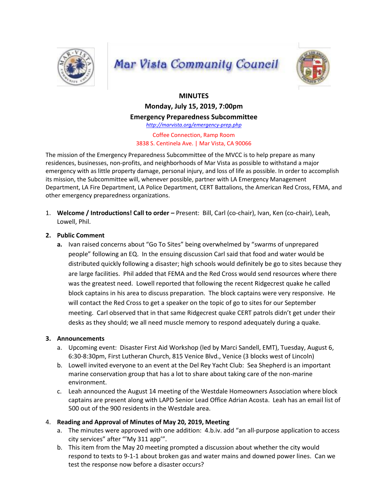

# **Mar Vista Community Council**



# **MINUTES**

**Monday, July 15, 2019, 7:00pm**

**Emergency Preparedness Subcommittee**

*http://marvista.org/emergency-prep.php*

Coffee Connection, Ramp Room 3838 S. Centinela Ave. | Mar Vista, CA 90066

The mission of the Emergency Preparedness Subcommittee of the MVCC is to help prepare as many residences, businesses, non-profits, and neighborhoods of Mar Vista as possible to withstand a major emergency with as little property damage, personal injury, and loss of life as possible. In order to accomplish its mission, the Subcommittee will, whenever possible, partner with LA Emergency Management Department, LA Fire Department, LA Police Department, CERT Battalions, the American Red Cross, FEMA, and other emergency preparedness organizations.

1. **Welcome / Introductions! Call to order –** Present: Bill, Carl (co-chair), Ivan, Ken (co-chair), Leah, Lowell, Phil.

### **2. Public Comment**

**a.** Ivan raised concerns about "Go To Sites" being overwhelmed by "swarms of unprepared people" following an EQ. In the ensuing discussion Carl said that food and water would be distributed quickly following a disaster; high schools would definitely be go to sites because they are large facilities. Phil added that FEMA and the Red Cross would send resources where there was the greatest need. Lowell reported that following the recent Ridgecrest quake he called block captains in his area to discuss preparation. The block captains were very responsive. He will contact the Red Cross to get a speaker on the topic of go to sites for our September meeting. Carl observed that in that same Ridgecrest quake CERT patrols didn't get under their desks as they should; we all need muscle memory to respond adequately during a quake.

#### **3. Announcements**

- a. Upcoming event: Disaster First Aid Workshop (led by Marci Sandell, EMT), Tuesday, August 6, 6:30-8:30pm, First Lutheran Church, 815 Venice Blvd., Venice (3 blocks west of Lincoln)
- b. Lowell invited everyone to an event at the Del Rey Yacht Club: Sea Shepherd is an important marine conservation group that has a lot to share about taking care of the non-marine environment.
- c. Leah announced the August 14 meeting of the Westdale Homeowners Association where block captains are present along with LAPD Senior Lead Office Adrian Acosta. Leah has an email list of 500 out of the 900 residents in the Westdale area.

## 4. **Reading and Approval of Minutes of May 20, 2019, Meeting**

- a. The minutes were approved with one addition: 4.b.iv. add "an all-purpose application to access city services" after "'My 311 app'".
- b. This item from the May 20 meeting prompted a discussion about whether the city would respond to texts to 9-1-1 about broken gas and water mains and downed power lines. Can we test the response now before a disaster occurs?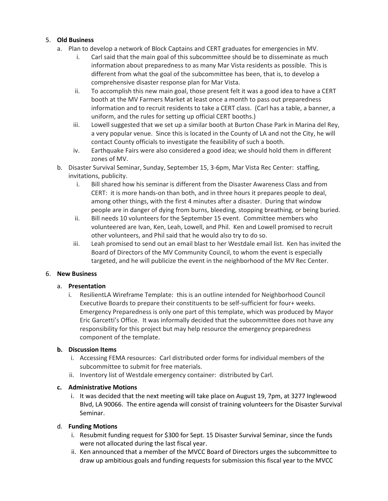## 5. **Old Business**

- a. Plan to develop a network of Block Captains and CERT graduates for emergencies in MV.
	- i. Carl said that the main goal of this subcommittee should be to disseminate as much information about preparedness to as many Mar Vista residents as possible. This is different from what the goal of the subcommittee has been, that is, to develop a comprehensive disaster response plan for Mar Vista.
	- ii. To accomplish this new main goal, those present felt it was a good idea to have a CERT booth at the MV Farmers Market at least once a month to pass out preparedness information and to recruit residents to take a CERT class. (Carl has a table, a banner, a uniform, and the rules for setting up official CERT booths.)
	- iii. Lowell suggested that we set up a similar booth at Burton Chase Park in Marina del Rey, a very popular venue. Since this is located in the County of LA and not the City, he will contact County officials to investigate the feasibility of such a booth.
	- iv. Earthquake Fairs were also considered a good idea; we should hold them in different zones of MV.
- b. Disaster Survival Seminar, Sunday, September 15, 3-6pm, Mar Vista Rec Center: staffing, invitations, publicity.
	- i. Bill shared how his seminar is different from the Disaster Awareness Class and from CERT: it is more hands-on than both, and in three hours it prepares people to deal, among other things, with the first 4 minutes after a disaster. During that window people are in danger of dying from burns, bleeding, stopping breathing, or being buried.
	- ii. Bill needs 10 volunteers for the September 15 event. Committee members who volunteered are Ivan, Ken, Leah, Lowell, and Phil. Ken and Lowell promised to recruit other volunteers, and Phil said that he would also try to do so.
	- iii. Leah promised to send out an email blast to her Westdale email list. Ken has invited the Board of Directors of the MV Community Council, to whom the event is especially targeted, and he will publicize the event in the neighborhood of the MV Rec Center.

#### 6. **New Business**

#### a. **Presentation**

i. ResilientLA Wireframe Template: this is an outline intended for Neighborhood Council Executive Boards to prepare their constituents to be self-sufficient for four+ weeks. Emergency Preparedness is only one part of this template, which was produced by Mayor Eric Garcetti's Office. It was informally decided that the subcommittee does not have any responsibility for this project but may help resource the emergency preparedness component of the template.

#### **b. Discussion Items**

- i. Accessing FEMA resources: Carl distributed order forms for individual members of the subcommittee to submit for free materials.
- ii. Inventory list of Westdale emergency container: distributed by Carl.

#### **c. Administrative Motions**

i. It was decided that the next meeting will take place on August 19, 7pm, at 3277 Inglewood Blvd, LA 90066. The entire agenda will consist of training volunteers for the Disaster Survival Seminar.

#### d. **Funding Motions**

- i. Resubmit funding request for \$300 for Sept. 15 Disaster Survival Seminar, since the funds were not allocated during the last fiscal year.
- ii. Ken announced that a member of the MVCC Board of Directors urges the subcommittee to draw up ambitious goals and funding requests for submission this fiscal year to the MVCC